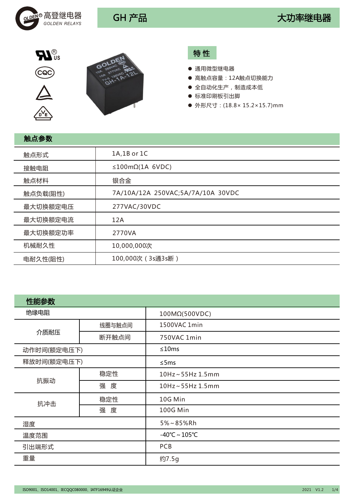







# 特 性

- 通用微型继电器
- 高触点容量: 12A触点切换能力
- 全自动化生产,制造成本低
- 标准印刷板引出脚
- 外形尺寸: (18.8×15.2×15.7)mm

| 触点参数     |                                   |
|----------|-----------------------------------|
| 触点形式     | 1A,1B or 1C                       |
| 接触电阻     | $\leq$ 100m $\Omega$ (1A 6VDC)    |
| 触点材料     | 银合金                               |
| 触点负载(阻性) | 7A/10A/12A 250VAC;5A/7A/10A 30VDC |
| 最大切换额定电压 | 277VAC/30VDC                      |
| 最大切换额定电流 | 12A                               |
| 最大切换额定功率 | 2770VA                            |
| 机械耐久性    | 10,000,000次                       |
| 电耐久性(阻性) | 100,000次 (3s通3s断)                 |

| 性能参数        |        |                         |  |  |
|-------------|--------|-------------------------|--|--|
| 绝缘电阻        |        | 100MΩ(500VDC)           |  |  |
|             | 线圈与触点间 | 1500VAC 1min            |  |  |
| 介质耐压        | 断开触点间  | 750VAC 1min             |  |  |
| 动作时间(额定电压下) |        | ≤10ms                   |  |  |
| 释放时间(额定电压下) |        | $\leq$ 5ms              |  |  |
|             | 稳定性    | 10Hz~55Hz 1.5mm         |  |  |
| 抗振动         | 强 度    | 10Hz~55Hz 1.5mm         |  |  |
| 抗冲击         | 稳定性    | 10G Min                 |  |  |
|             | 强 度    | 100G Min                |  |  |
| 湿度          |        | 5%~85%Rh                |  |  |
| 温度范围        |        | $-40^{\circ}$ C ~ 105°C |  |  |
| 引出端形式       |        | <b>PCB</b>              |  |  |
| 重量          |        | 约7.5g                   |  |  |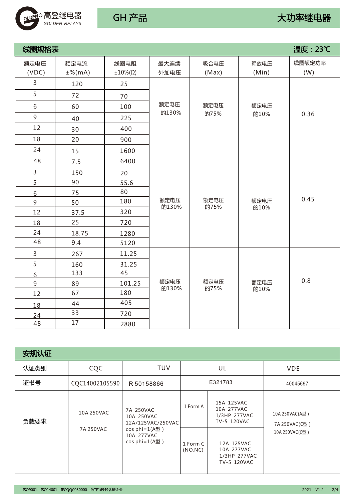

| 线圈规格表          |                   |                              |               |               |               | 温度: 23℃       |
|----------------|-------------------|------------------------------|---------------|---------------|---------------|---------------|
| 额定电压<br>(VDC)  | 额定电流<br>$±%$ (mA) | 线圈电阻<br>$±10\%$ ( $\Omega$ ) | 最大连续<br>外加电压  | 吸合电压<br>(Max) | 释放电压<br>(Min) | 线圈额定功率<br>(W) |
| 3              | 120               | 25                           |               |               |               |               |
| 5              | 72                | 70                           |               |               |               |               |
| 6              | 60                | 100                          | 额定电压          | 额定电压          | 额定电压          |               |
| 9              | 40                | 225                          | 的130%         | 的75%          | 的10%          | 0.36          |
| 12             | 30                | 400                          |               |               |               |               |
| 18             | 20                | 900                          |               |               |               |               |
| 24             | 15                | 1600                         |               |               |               |               |
| 48             | 7.5               | 6400                         |               |               |               |               |
| $\overline{3}$ | 150               | 20                           |               |               |               |               |
| 5              | 90                | 55.6                         |               |               |               |               |
| 6              | 75                | 80                           |               |               |               |               |
| 9              | 50                | 180                          | 额定电压<br>的130% | 额定电压<br>的75%  | 额定电压<br>的10%  | 0.45          |
| 12             | 37.5              | 320                          |               |               |               |               |
| 18             | 25                | 720                          |               |               |               |               |
| 24             | 18.75             | 1280                         |               |               |               |               |
| 48             | 9.4               | 5120                         |               |               |               |               |
| $\overline{3}$ | 267               | 11.25                        |               |               |               |               |
| 5              | 160               | 31.25                        |               |               |               |               |
| $6\phantom{1}$ | 133               | 45                           |               |               |               |               |
| $\mathsf 9$    | 89                | 101.25                       | 额定电压          | 额定电压          | 额定电压          | 0.8           |
| 12             | 67                | 180                          | 的130%         | 的75%          | 的10%          |               |
| 18             | 44                | 405                          |               |               |               |               |
| 24             | 33                | 720                          |               |               |               |               |
| 48             | 17                | 2880                         |               |               |               |               |

| 安规认证 |                |                                                   |                      |                                                         |                                  |
|------|----------------|---------------------------------------------------|----------------------|---------------------------------------------------------|----------------------------------|
| 认证类别 | CQC            | <b>TUV</b>                                        |                      | UL                                                      | <b>VDE</b>                       |
| 证书号  | CQC14002105590 | R 50158866                                        |                      | E321783                                                 | 40045697                         |
| 负载要求 | 10A 250VAC     | 7A 250VAC<br>10A 250VAC<br>12A/125VAC/250VAC      | 1 Form A             | 15A 125VAC<br>10A 277VAC<br>1/3HP 277VAC<br>TV-5 120VAC | 10A 250VAC(A型)<br>7A 250VAC(C퓇 ) |
|      | 7A 250VAC      | cos phi=1(A型)<br>10A 277VAC<br>$cos phi = 1(A 1)$ | 1 Form C<br>(NO, NC) | 12A 125VAC<br>10A 277VAC<br>1/3HP 277VAC<br>TV-5 120VAC | 10A 250VAC(C型)                   |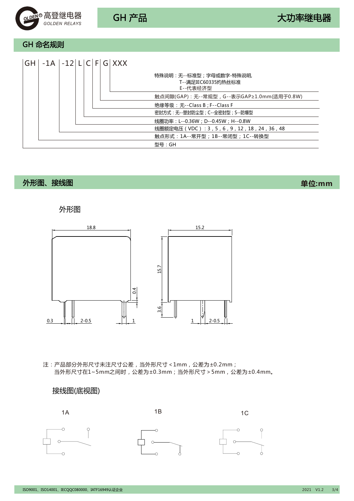

GH 命名规则

| $ GH $ -1A $ $ -12 $ L C F G XXX$ |  |  |  |                                                           |
|-----------------------------------|--|--|--|-----------------------------------------------------------|
|                                   |  |  |  | 特殊说明:无--标准型;字母或数字-特殊说明,<br>T--满足IEC60335灼热丝标准<br>E--代表经济型 |
|                                   |  |  |  | 触点间隙(GAP):无--常规型,G--表示GAP≥1.0mm(适用于0.8W)                  |
|                                   |  |  |  | 绝缘等级:无--Class B ; F--Class F                              |
|                                   |  |  |  | 密封方式: 无--塑封防尘型; C--全密封型; S--防爆型                           |
|                                   |  |  |  | 线圈功率:L--0.36W;D--0.45W;H--0.8W                            |
|                                   |  |  |  | 线圈额定电压(VDC):3,5,6,9,12,18,24,36,48                        |
|                                   |  |  |  | 触点形式:1A--常开型;1B--常闭型;1C--转换型                              |
|                                   |  |  |  | 型号 : GH                                                   |

# 外形图、接线图

**单位:mm**

### 外形图



注:产品部分外形尺寸未注尺寸公差,当外形尺寸<1mm,公差为±0.2mm; 当外形尺寸在1~5mm之间时,公差为±0.3mm;当外形尺寸>5mm,公差为±0.4mm。

### 接线图(底视图)

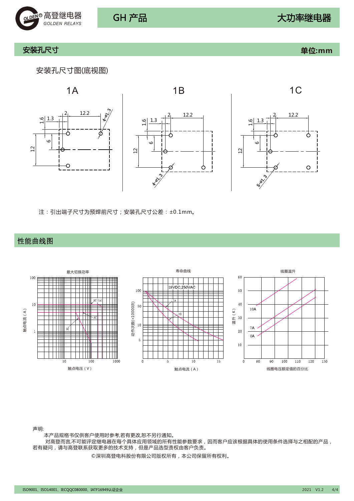

### 安装孔尺寸 **单位:mm**

### 安装孔尺寸图(底视图)



注:引出端子尺寸为预焊前尺寸;安装孔尺寸公差:±0.1mm。

### 性能曲线图



声明:

本产品规格书仅供客户使用时参考,若有更改,恕不另行通知。

 对高登而言,不可能评定继电器在每个具体应用领域的所有性能参数要求,因而客户应该根据具体的使用条件选择与之相配的产品, 若有疑问,请与高登联系获取更多的技术支持,但是产品选型责权由客户负责。

©深圳高登电科股份有限公司版权所有,本公司保留所有权利。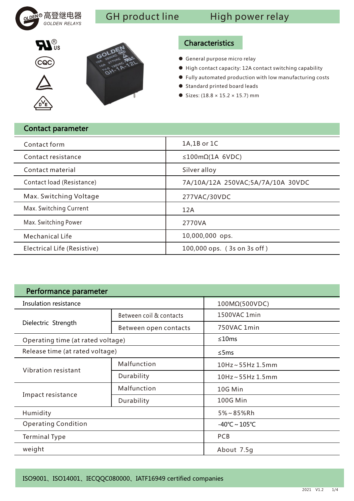

# GH product line High power relay





# Characteristics

- General purpose micro relay
- High contact capacity: 12A contact switching capability
- Fully automated production with low manufacturing costs
- Standard printed board leads
- $\bullet$  Sizes: (18.8 × 15.2 × 15.7) mm

| <b>Contact parameter</b>    |                                   |
|-----------------------------|-----------------------------------|
| Contact form                | 1A,1B or 1C                       |
| Contact resistance          | $\leq$ 100m $\Omega$ (1A 6VDC)    |
| Contact material            | Silver alloy                      |
| Contact load (Resistance)   | 7A/10A/12A 250VAC;5A/7A/10A 30VDC |
| Max. Switching Voltage      | 277VAC/30VDC                      |
| Max. Switching Current      | 12A                               |
| Max. Switching Power        | 2770VA                            |
| <b>Mechanical Life</b>      | 10,000,000 ops.                   |
| Electrical Life (Resistive) | 100,000 ops. (3s on 3s off)       |

| Performance parameter             |                                                   |                         |  |  |  |
|-----------------------------------|---------------------------------------------------|-------------------------|--|--|--|
| Insulation resistance             |                                                   | 100MΩ(500VDC)           |  |  |  |
|                                   | Between coil & contacts                           | 1500VAC 1min            |  |  |  |
| Dielectric Strength               | Between open contacts<br>$\leq$ 5ms<br><b>PCB</b> | 750VAC 1min             |  |  |  |
| Operating time (at rated voltage) |                                                   | $\leq 10$ ms            |  |  |  |
| Release time (at rated voltage)   |                                                   |                         |  |  |  |
|                                   | Malfunction                                       | 10Hz~55Hz 1.5mm         |  |  |  |
| Vibration resistant               | Durability                                        | $10$ Hz ~ 55Hz $1.5$ mm |  |  |  |
|                                   | Malfunction                                       | 10G Min                 |  |  |  |
| Impact resistance                 | Durability                                        | <b>100G Min</b>         |  |  |  |
| Humidity                          |                                                   | $5\% \sim 85\%$ Rh      |  |  |  |
| <b>Operating Condition</b>        |                                                   | $-40^{\circ}$ C ~ 105°C |  |  |  |
| <b>Terminal Type</b>              |                                                   |                         |  |  |  |
| weight                            |                                                   | About 7.5g              |  |  |  |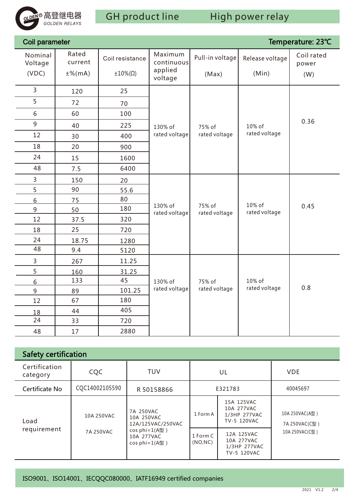

| Coil parameter     |                  |                         |                          |                         |                 | Temperature: 23℃    |
|--------------------|------------------|-------------------------|--------------------------|-------------------------|-----------------|---------------------|
| Nominal<br>Voltage | Rated<br>current | Coil resistance         | Maximum<br>continuous    | Pull-in voltage         | Release voltage | Coil rated<br>power |
| (VDC)              | $±%$ (mA)        | $\pm 10\%$ ( $\Omega$ ) | applied<br>voltage       | (Max)                   | (Min)           | (W)                 |
| $\overline{3}$     | 120              | 25                      |                          |                         |                 |                     |
| 5                  | 72               | 70                      |                          |                         |                 |                     |
| $\sqrt{6}$         | 60               | 100                     |                          |                         |                 |                     |
| 9                  | 40               | 225                     | 130% of                  | 75% of                  | 10% of          | 0.36                |
| 12                 | 30               | 400                     | rated voltage            | rated voltage           | rated voltage   |                     |
| 18                 | 20               | 900                     |                          |                         |                 |                     |
| 24                 | 15               | 1600                    |                          |                         |                 |                     |
| 48                 | 7.5              | 6400                    |                          |                         |                 |                     |
| 3                  | 150              | 20                      |                          |                         |                 |                     |
| 5                  | 90               | 55.6                    |                          |                         |                 |                     |
| 6                  | 75               | 80                      |                          |                         | 10% of          |                     |
| 9                  | 50               | 180                     | 130% of<br>rated voltage | 75% of<br>rated voltage | rated voltage   | 0.45                |
| 12                 | 37.5             | 320                     |                          |                         |                 |                     |
| 18                 | 25               | 720                     |                          |                         |                 |                     |
| 24                 | 18.75            | 1280                    |                          |                         |                 |                     |
| 48                 | 9.4              | 5120                    |                          |                         |                 |                     |
| $\mathsf{3}$       | 267              | 11.25                   |                          |                         |                 |                     |
| 5                  | 160              | 31.25                   |                          |                         |                 |                     |
| 6                  | 133              | 45                      | 130% of                  | 75% of                  | 10% of          |                     |
| $\overline{9}$     | 89               | 101.25                  | rated voltage            | rated voltage           | rated voltage   | 0.8                 |
| 12                 | 67               | 180                     |                          |                         |                 |                     |
| 18                 | 44               | 405                     |                          |                         |                 |                     |
| 24                 | 33               | 720                     |                          |                         |                 |                     |
| 48                 | 17               | 2880                    |                          |                         |                 |                     |

| <b>Safety certification</b> |                         |                                                               |                      |                                                         |                                                      |  |  |  |
|-----------------------------|-------------------------|---------------------------------------------------------------|----------------------|---------------------------------------------------------|------------------------------------------------------|--|--|--|
| Certification<br>category   | CQC                     | <b>TUV</b>                                                    |                      | UL                                                      | <b>VDE</b>                                           |  |  |  |
| Certificate No              | CQC14002105590          | R 50158866                                                    | E321783              |                                                         | 40045697                                             |  |  |  |
| Load<br>requirement         | 10A 250VAC<br>7A 250VAC | 7A 250VAC<br>10A 250VAC<br>12A/125VAC/250VAC<br>cos phi=1(A型) | 1 Form A             | 15A 125VAC<br>10A 277VAC<br>1/3HP 277VAC<br>TV-5 120VAC | 10A 250VAC(A풽 )<br>7A 250VAC(C풽 )<br>10A 250VAC(C퓇 ) |  |  |  |
|                             |                         | 10A 277VAC<br>$cos phi = 1(A 4)$                              | 1 Form C<br>(NO, NC) | 12A 125VAC<br>10A 277VAC<br>1/3HP 277VAC<br>TV-5 120VAC |                                                      |  |  |  |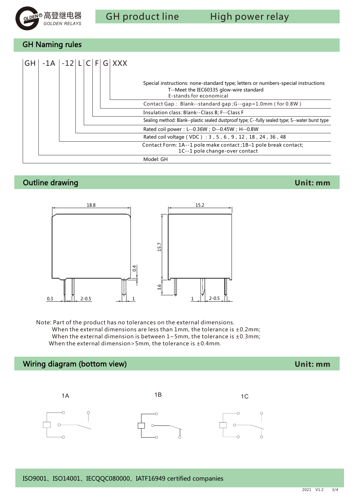

GH Naming rules



# Outline drawing

**Unit: mm**



Note: Part of the product has no tolerances on the external dimensions. When the external dimensions are less than  $1$ mm, the tolerance is  $\pm 0.2$ mm; When the external dimension is between  $1 \sim 5$ mm, the tolerance is  $\pm 0.3$ mm; When the external dimension>5mm, the tolerance is ±0.4mm.

# Wiring diagram (bottom view)



### ISO9001、ISO14001、IECQQC080000、IATF16949 certified companies

**Unit: mm**